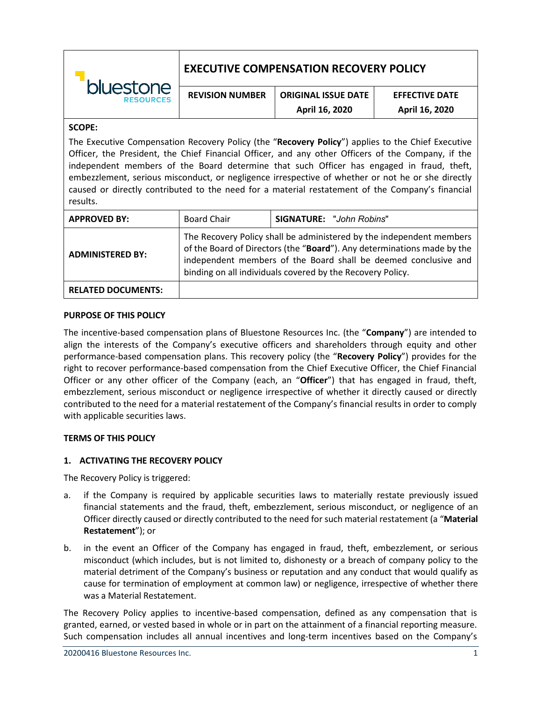|                                      | <b>EXECUTIVE COMPENSATION RECOVERY POLICY</b> |                            |                       |
|--------------------------------------|-----------------------------------------------|----------------------------|-----------------------|
| <b>bluestone</b><br><b>RESOURCES</b> | <b>REVISION NUMBER</b>                        | <b>ORIGINAL ISSUE DATE</b> | <b>EFFECTIVE DATE</b> |
|                                      |                                               | April 16, 2020             | April 16, 2020        |

#### **SCOPE:**

The Executive Compensation Recovery Policy (the "**Recovery Policy**") applies to the Chief Executive Officer, the President, the Chief Financial Officer, and any other Officers of the Company, if the independent members of the Board determine that such Officer has engaged in fraud, theft, embezzlement, serious misconduct, or negligence irrespective of whether or not he or she directly caused or directly contributed to the need for a material restatement of the Company's financial results.

| <b>APPROVED BY:</b>       | <b>Board Chair</b>                                                                                                                                                                                                                                                               | <b>SIGNATURE: "John Robins"</b> |
|---------------------------|----------------------------------------------------------------------------------------------------------------------------------------------------------------------------------------------------------------------------------------------------------------------------------|---------------------------------|
| <b>ADMINISTERED BY:</b>   | The Recovery Policy shall be administered by the independent members<br>of the Board of Directors (the "Board"). Any determinations made by the<br>independent members of the Board shall be deemed conclusive and<br>binding on all individuals covered by the Recovery Policy. |                                 |
| <b>RELATED DOCUMENTS:</b> |                                                                                                                                                                                                                                                                                  |                                 |

#### **PURPOSE OF THIS POLICY**

The incentive-based compensation plans of Bluestone Resources Inc. (the "**Company**") are intended to align the interests of the Company's executive officers and shareholders through equity and other performance-based compensation plans. This recovery policy (the "**Recovery Policy**") provides for the right to recover performance-based compensation from the Chief Executive Officer, the Chief Financial Officer or any other officer of the Company (each, an "**Officer**") that has engaged in fraud, theft, embezzlement, serious misconduct or negligence irrespective of whether it directly caused or directly contributed to the need for a material restatement of the Company's financial results in order to comply with applicable securities laws.

### **TERMS OF THIS POLICY**

### **1. ACTIVATING THE RECOVERY POLICY**

The Recovery Policy is triggered:

- a. if the Company is required by applicable securities laws to materially restate previously issued financial statements and the fraud, theft, embezzlement, serious misconduct, or negligence of an Officer directly caused or directly contributed to the need for such material restatement (a "**Material Restatement**"); or
- b. in the event an Officer of the Company has engaged in fraud, theft, embezzlement, or serious misconduct (which includes, but is not limited to, dishonesty or a breach of company policy to the material detriment of the Company's business or reputation and any conduct that would qualify as cause for termination of employment at common law) or negligence, irrespective of whether there was a Material Restatement.

The Recovery Policy applies to incentive-based compensation, defined as any compensation that is granted, earned, or vested based in whole or in part on the attainment of a financial reporting measure. Such compensation includes all annual incentives and long-term incentives based on the Company's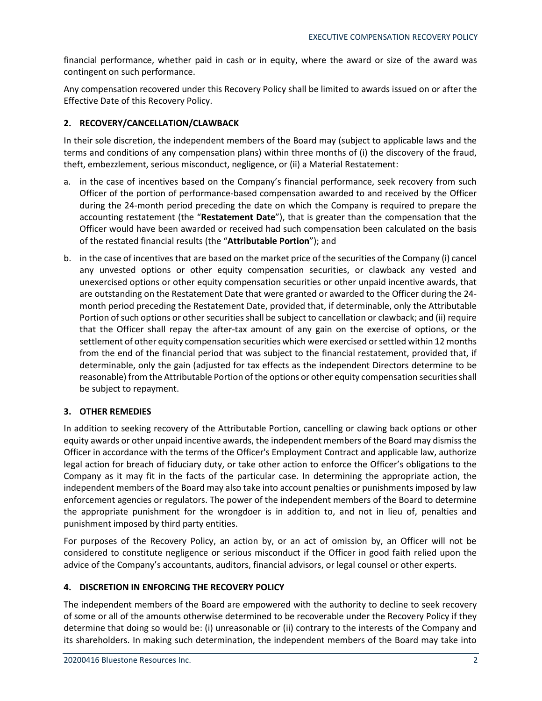financial performance, whether paid in cash or in equity, where the award or size of the award was contingent on such performance.

Any compensation recovered under this Recovery Policy shall be limited to awards issued on or after the Effective Date of this Recovery Policy.

# **2. RECOVERY/CANCELLATION/CLAWBACK**

In their sole discretion, the independent members of the Board may (subject to applicable laws and the terms and conditions of any compensation plans) within three months of (i) the discovery of the fraud, theft, embezzlement, serious misconduct, negligence, or (ii) a Material Restatement:

- a. in the case of incentives based on the Company's financial performance, seek recovery from such Officer of the portion of performance-based compensation awarded to and received by the Officer during the 24-month period preceding the date on which the Company is required to prepare the accounting restatement (the "**Restatement Date**"), that is greater than the compensation that the Officer would have been awarded or received had such compensation been calculated on the basis of the restated financial results (the "**Attributable Portion**"); and
- b. in the case of incentives that are based on the market price of the securities of the Company (i) cancel any unvested options or other equity compensation securities, or clawback any vested and unexercised options or other equity compensation securities or other unpaid incentive awards, that are outstanding on the Restatement Date that were granted or awarded to the Officer during the 24 month period preceding the Restatement Date, provided that, if determinable, only the Attributable Portion of such options or other securities shall be subject to cancellation or clawback; and (ii) require that the Officer shall repay the after-tax amount of any gain on the exercise of options, or the settlement of other equity compensation securities which were exercised or settled within 12 months from the end of the financial period that was subject to the financial restatement, provided that, if determinable, only the gain (adjusted for tax effects as the independent Directors determine to be reasonable) from the Attributable Portion of the options or other equity compensation securities shall be subject to repayment.

# **3. OTHER REMEDIES**

In addition to seeking recovery of the Attributable Portion, cancelling or clawing back options or other equity awards or other unpaid incentive awards, the independent members of the Board may dismiss the Officer in accordance with the terms of the Officer's Employment Contract and applicable law, authorize legal action for breach of fiduciary duty, or take other action to enforce the Officer's obligations to the Company as it may fit in the facts of the particular case. In determining the appropriate action, the independent members of the Board may also take into account penalties or punishments imposed by law enforcement agencies or regulators. The power of the independent members of the Board to determine the appropriate punishment for the wrongdoer is in addition to, and not in lieu of, penalties and punishment imposed by third party entities.

For purposes of the Recovery Policy, an action by, or an act of omission by, an Officer will not be considered to constitute negligence or serious misconduct if the Officer in good faith relied upon the advice of the Company's accountants, auditors, financial advisors, or legal counsel or other experts.

# **4. DISCRETION IN ENFORCING THE RECOVERY POLICY**

The independent members of the Board are empowered with the authority to decline to seek recovery of some or all of the amounts otherwise determined to be recoverable under the Recovery Policy if they determine that doing so would be: (i) unreasonable or (ii) contrary to the interests of the Company and its shareholders. In making such determination, the independent members of the Board may take into